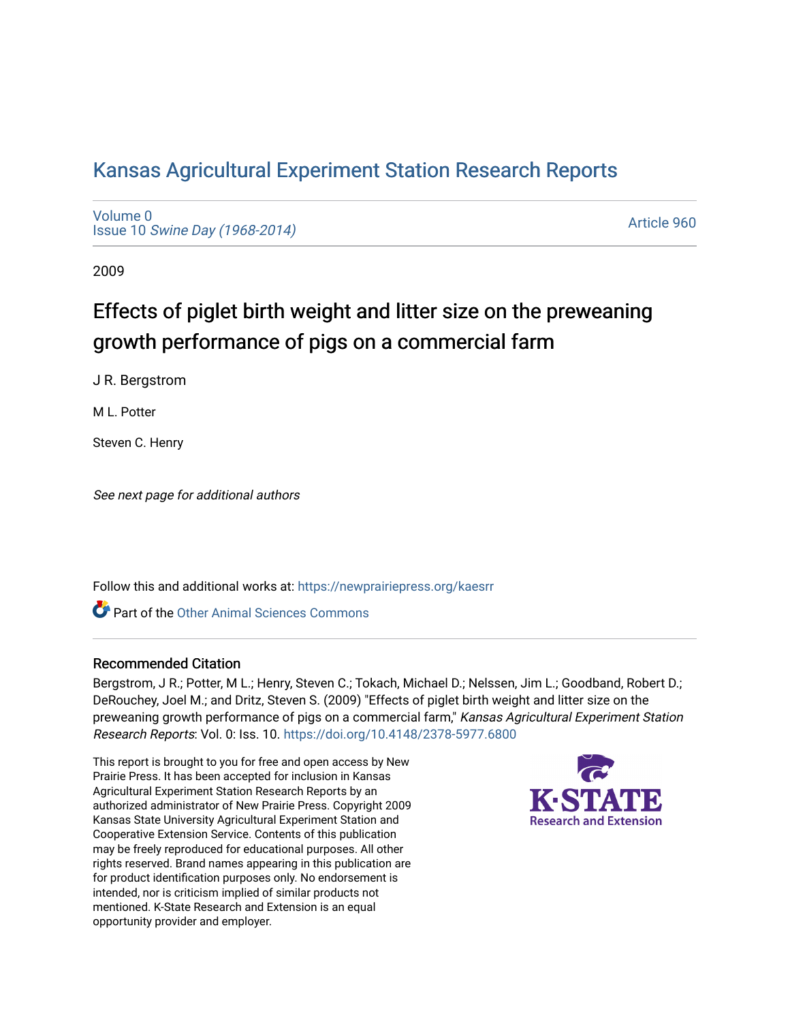# [Kansas Agricultural Experiment Station Research Reports](https://newprairiepress.org/kaesrr)

[Volume 0](https://newprairiepress.org/kaesrr/vol0) Issue 10 [Swine Day \(1968-2014\)](https://newprairiepress.org/kaesrr/vol0/iss10)

[Article 960](https://newprairiepress.org/kaesrr/vol0/iss10/960) 

2009

# Effects of piglet birth weight and litter size on the preweaning growth performance of pigs on a commercial farm

J R. Bergstrom

M L. Potter

Steven C. Henry

See next page for additional authors

Follow this and additional works at: [https://newprairiepress.org/kaesrr](https://newprairiepress.org/kaesrr?utm_source=newprairiepress.org%2Fkaesrr%2Fvol0%2Fiss10%2F960&utm_medium=PDF&utm_campaign=PDFCoverPages) 

**C** Part of the [Other Animal Sciences Commons](http://network.bepress.com/hgg/discipline/82?utm_source=newprairiepress.org%2Fkaesrr%2Fvol0%2Fiss10%2F960&utm_medium=PDF&utm_campaign=PDFCoverPages)

### Recommended Citation

Bergstrom, J R.; Potter, M L.; Henry, Steven C.; Tokach, Michael D.; Nelssen, Jim L.; Goodband, Robert D.; DeRouchey, Joel M.; and Dritz, Steven S. (2009) "Effects of piglet birth weight and litter size on the preweaning growth performance of pigs on a commercial farm," Kansas Agricultural Experiment Station Research Reports: Vol. 0: Iss. 10. <https://doi.org/10.4148/2378-5977.6800>

This report is brought to you for free and open access by New Prairie Press. It has been accepted for inclusion in Kansas Agricultural Experiment Station Research Reports by an authorized administrator of New Prairie Press. Copyright 2009 Kansas State University Agricultural Experiment Station and Cooperative Extension Service. Contents of this publication may be freely reproduced for educational purposes. All other rights reserved. Brand names appearing in this publication are for product identification purposes only. No endorsement is intended, nor is criticism implied of similar products not mentioned. K-State Research and Extension is an equal opportunity provider and employer.

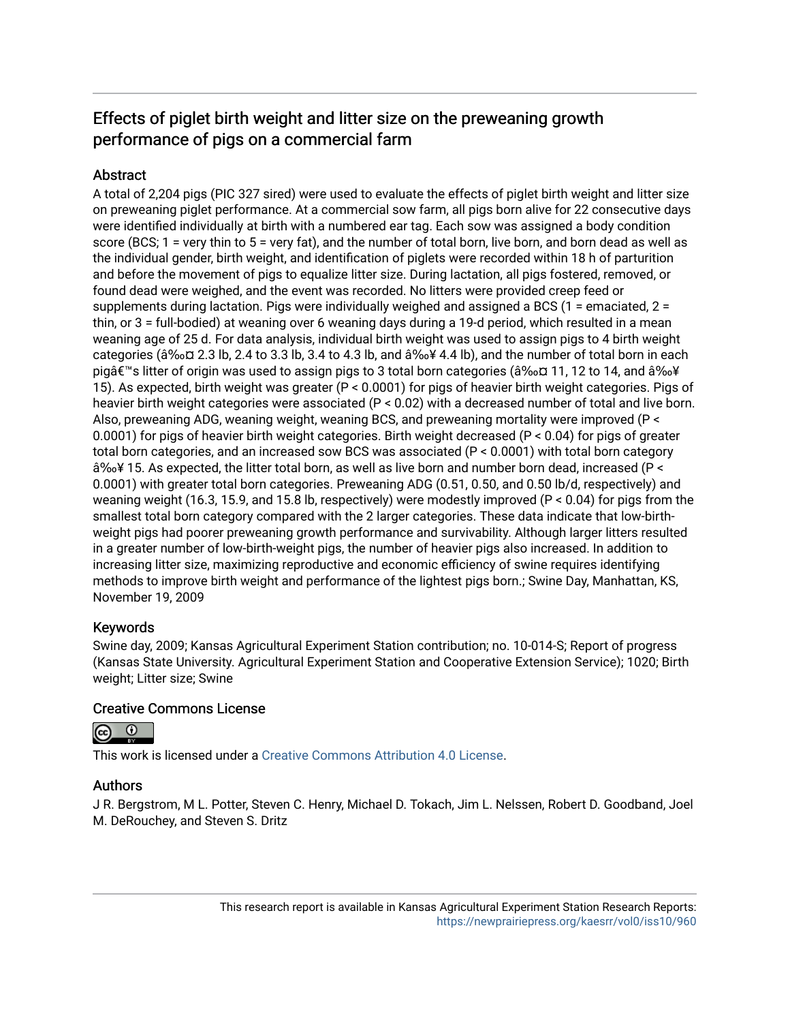## Effects of piglet birth weight and litter size on the preweaning growth performance of pigs on a commercial farm

### **Abstract**

A total of 2,204 pigs (PIC 327 sired) were used to evaluate the effects of piglet birth weight and litter size on preweaning piglet performance. At a commercial sow farm, all pigs born alive for 22 consecutive days were identified individually at birth with a numbered ear tag. Each sow was assigned a body condition score (BCS; 1 = very thin to 5 = very fat), and the number of total born, live born, and born dead as well as the individual gender, birth weight, and identification of piglets were recorded within 18 h of parturition and before the movement of pigs to equalize litter size. During lactation, all pigs fostered, removed, or found dead were weighed, and the event was recorded. No litters were provided creep feed or supplements during lactation. Pigs were individually weighed and assigned a BCS (1 = emaciated, 2 = thin, or 3 = full-bodied) at weaning over 6 weaning days during a 19-d period, which resulted in a mean weaning age of 25 d. For data analysis, individual birth weight was used to assign pigs to 4 birth weight categories (â‰¤ 2.3 lb, 2.4 to 3.3 lb, 3.4 to 4.3 lb, and â‰¥ 4.4 lb), and the number of total born in each pig's litter of origin was used to assign pigs to 3 total born categories (≤ 11, 12 to 14, and ≥ 15). As expected, birth weight was greater (P < 0.0001) for pigs of heavier birth weight categories. Pigs of heavier birth weight categories were associated (P < 0.02) with a decreased number of total and live born. Also, preweaning ADG, weaning weight, weaning BCS, and preweaning mortality were improved (P < 0.0001) for pigs of heavier birth weight categories. Birth weight decreased (P < 0.04) for pigs of greater total born categories, and an increased sow BCS was associated (P < 0.0001) with total born category â‰¥ 15. As expected, the litter total born, as well as live born and number born dead, increased (P < 0.0001) with greater total born categories. Preweaning ADG (0.51, 0.50, and 0.50 lb/d, respectively) and weaning weight (16.3, 15.9, and 15.8 lb, respectively) were modestly improved (P < 0.04) for pigs from the smallest total born category compared with the 2 larger categories. These data indicate that low-birthweight pigs had poorer preweaning growth performance and survivability. Although larger litters resulted in a greater number of low-birth-weight pigs, the number of heavier pigs also increased. In addition to increasing litter size, maximizing reproductive and economic efficiency of swine requires identifying methods to improve birth weight and performance of the lightest pigs born.; Swine Day, Manhattan, KS, November 19, 2009

### Keywords

Swine day, 2009; Kansas Agricultural Experiment Station contribution; no. 10-014-S; Report of progress (Kansas State University. Agricultural Experiment Station and Cooperative Extension Service); 1020; Birth weight; Litter size; Swine

### Creative Commons License



This work is licensed under a [Creative Commons Attribution 4.0 License](https://creativecommons.org/licenses/by/4.0/).

### Authors

J R. Bergstrom, M L. Potter, Steven C. Henry, Michael D. Tokach, Jim L. Nelssen, Robert D. Goodband, Joel M. DeRouchey, and Steven S. Dritz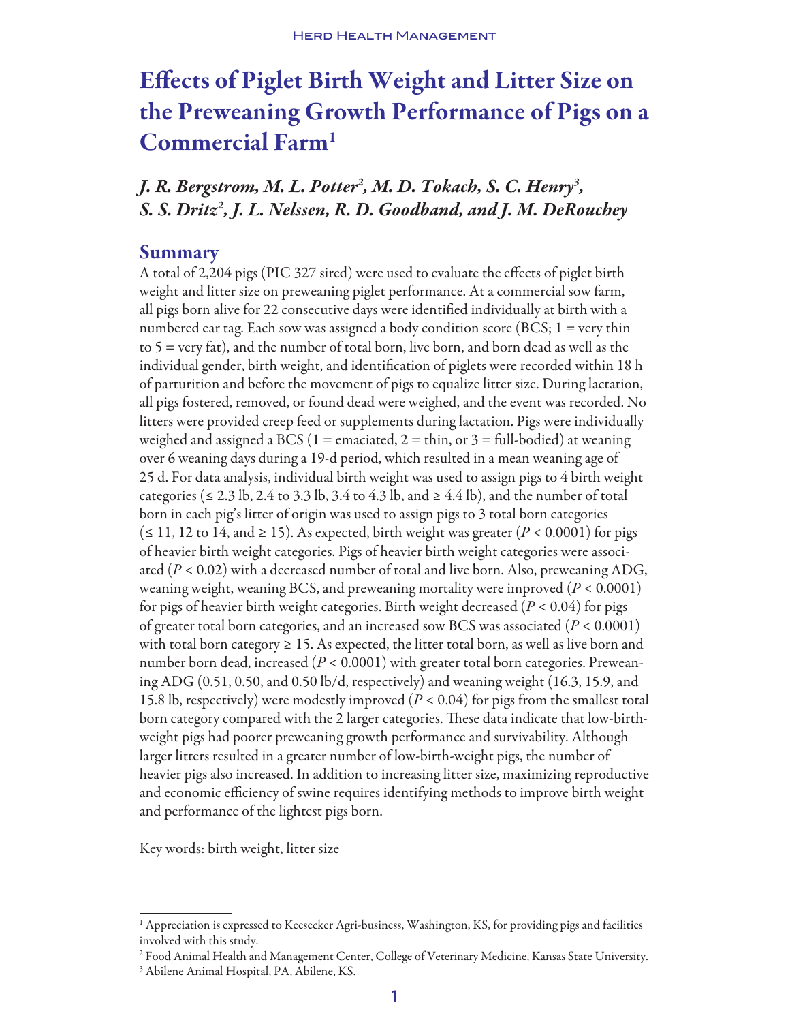# Effects of Piglet Birth Weight and Litter Size on the Preweaning Growth Performance of Pigs on a Commercial Farm1

*J. R. Bergstrom, M. L. Potter2 , M. D. Tokach, S. C. Henry3 , S. S. Dritz2 , J. L. Nelssen, R. D. Goodband, and J. M. DeRouchey*

### Summary

A total of 2,204 pigs (PIC 327 sired) were used to evaluate the effects of piglet birth weight and litter size on preweaning piglet performance. At a commercial sow farm, all pigs born alive for 22 consecutive days were identified individually at birth with a numbered ear tag. Each sow was assigned a body condition score (BCS;  $1 = \text{very thin}$ ) to 5 = very fat), and the number of total born, live born, and born dead as well as the individual gender, birth weight, and identification of piglets were recorded within 18 h of parturition and before the movement of pigs to equalize litter size. During lactation, all pigs fostered, removed, or found dead were weighed, and the event was recorded. No litters were provided creep feed or supplements during lactation. Pigs were individually weighed and assigned a BCS (1 = emaciated, 2 = thin, or 3 = full-bodied) at weaning over 6 weaning days during a 19-d period, which resulted in a mean weaning age of 25 d. For data analysis, individual birth weight was used to assign pigs to 4 birth weight categories ( $\leq 2.3$  lb, 2.4 to 3.3 lb, 3.4 to 4.3 lb, and  $\geq 4.4$  lb), and the number of total born in each pig's litter of origin was used to assign pigs to 3 total born categories (≤ 11, 12 to 14, and ≥ 15). As expected, birth weight was greater ( $P < 0.0001$ ) for pigs of heavier birth weight categories. Pigs of heavier birth weight categories were associated  $(P < 0.02)$  with a decreased number of total and live born. Also, preweaning ADG, weaning weight, weaning BCS, and preweaning mortality were improved (*P* < 0.0001) for pigs of heavier birth weight categories. Birth weight decreased (*P* < 0.04) for pigs of greater total born categories, and an increased sow BCS was associated (*P* < 0.0001) with total born category  $\geq 15$ . As expected, the litter total born, as well as live born and number born dead, increased (*P* < 0.0001) with greater total born categories. Preweaning ADG (0.51, 0.50, and 0.50 lb/d, respectively) and weaning weight (16.3, 15.9, and 15.8 lb, respectively) were modestly improved (*P* < 0.04) for pigs from the smallest total born category compared with the 2 larger categories. These data indicate that low-birthweight pigs had poorer preweaning growth performance and survivability. Although larger litters resulted in a greater number of low-birth-weight pigs, the number of heavier pigs also increased. In addition to increasing litter size, maximizing reproductive and economic efficiency of swine requires identifying methods to improve birth weight and performance of the lightest pigs born.

Key words: birth weight, litter size

<sup>1</sup> Appreciation is expressed to Keesecker Agri-business, Washington, KS, for providing pigs and facilities involved with this study.

<sup>2</sup> Food Animal Health and Management Center, College of Veterinary Medicine, Kansas State University.

<sup>3</sup> Abilene Animal Hospital, PA, Abilene, KS.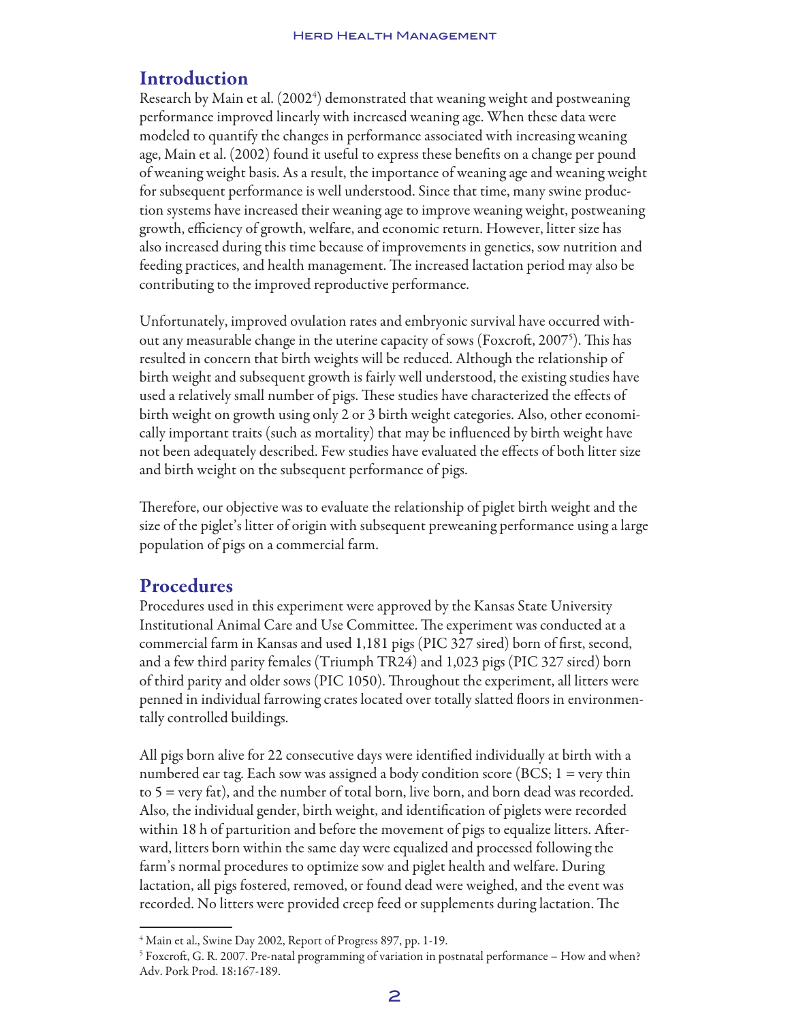## Introduction

Research by Main et al. (2002<sup>4</sup>) demonstrated that weaning weight and postweaning performance improved linearly with increased weaning age. When these data were modeled to quantify the changes in performance associated with increasing weaning age, Main et al. (2002) found it useful to express these benefits on a change per pound of weaning weight basis. As a result, the importance of weaning age and weaning weight for subsequent performance is well understood. Since that time, many swine production systems have increased their weaning age to improve weaning weight, postweaning growth, efficiency of growth, welfare, and economic return. However, litter size has also increased during this time because of improvements in genetics, sow nutrition and feeding practices, and health management. The increased lactation period may also be contributing to the improved reproductive performance.

Unfortunately, improved ovulation rates and embryonic survival have occurred without any measurable change in the uterine capacity of sows (Foxcroft, 2007<sup>5</sup>). This has resulted in concern that birth weights will be reduced. Although the relationship of birth weight and subsequent growth is fairly well understood, the existing studies have used a relatively small number of pigs. These studies have characterized the effects of birth weight on growth using only 2 or 3 birth weight categories. Also, other economically important traits (such as mortality) that may be influenced by birth weight have not been adequately described. Few studies have evaluated the effects of both litter size and birth weight on the subsequent performance of pigs.

Therefore, our objective was to evaluate the relationship of piglet birth weight and the size of the piglet's litter of origin with subsequent preweaning performance using a large population of pigs on a commercial farm.

## Procedures

Procedures used in this experiment were approved by the Kansas State University Institutional Animal Care and Use Committee. The experiment was conducted at a commercial farm in Kansas and used 1,181 pigs (PIC 327 sired) born of first, second, and a few third parity females (Triumph TR24) and 1,023 pigs (PIC 327 sired) born of third parity and older sows (PIC 1050). Throughout the experiment, all litters were penned in individual farrowing crates located over totally slatted floors in environmentally controlled buildings.

All pigs born alive for 22 consecutive days were identified individually at birth with a numbered ear tag. Each sow was assigned a body condition score (BCS;  $1 = \text{very thin}$ ) to 5 = very fat), and the number of total born, live born, and born dead was recorded. Also, the individual gender, birth weight, and identification of piglets were recorded within 18 h of parturition and before the movement of pigs to equalize litters. Afterward, litters born within the same day were equalized and processed following the farm's normal procedures to optimize sow and piglet health and welfare. During lactation, all pigs fostered, removed, or found dead were weighed, and the event was recorded. No litters were provided creep feed or supplements during lactation. The

<sup>4</sup> Main et al., Swine Day 2002, Report of Progress 897, pp. 1-19.

<sup>5</sup> Foxcroft, G. R. 2007. Pre-natal programming of variation in postnatal performance – How and when? Adv. Pork Prod. 18:167-189.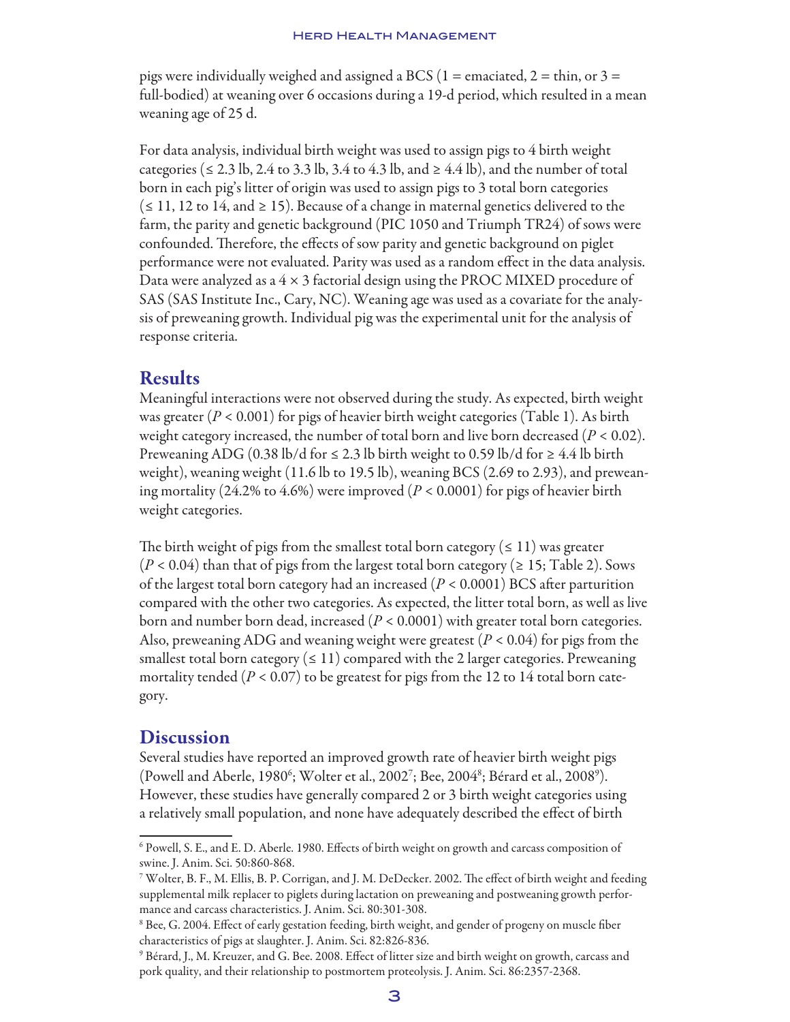pigs were individually weighed and assigned a BCS (1 = emaciated, 2 = thin, or 3 = full-bodied) at weaning over 6 occasions during a 19-d period, which resulted in a mean weaning age of 25 d.

For data analysis, individual birth weight was used to assign pigs to 4 birth weight categories ( $\le 2.3$  lb, 2.4 to 3.3 lb, 3.4 to 4.3 lb, and  $\ge 4.4$  lb), and the number of total born in each pig's litter of origin was used to assign pigs to 3 total born categories  $(\leq 11, 12 \text{ to } 14, \text{ and } \geq 15)$ . Because of a change in maternal genetics delivered to the farm, the parity and genetic background (PIC 1050 and Triumph TR24) of sows were confounded. Therefore, the effects of sow parity and genetic background on piglet performance were not evaluated. Parity was used as a random effect in the data analysis. Data were analyzed as a  $4 \times 3$  factorial design using the PROC MIXED procedure of SAS (SAS Institute Inc., Cary, NC). Weaning age was used as a covariate for the analysis of preweaning growth. Individual pig was the experimental unit for the analysis of response criteria.

### Results

Meaningful interactions were not observed during the study. As expected, birth weight was greater  $(P < 0.001)$  for pigs of heavier birth weight categories (Table 1). As birth weight category increased, the number of total born and live born decreased  $(P < 0.02)$ . Preweaning ADG (0.38 lb/d for  $\leq$  2.3 lb birth weight to 0.59 lb/d for  $\geq$  4.4 lb birth weight), weaning weight (11.6 lb to 19.5 lb), weaning BCS (2.69 to 2.93), and preweaning mortality (24.2% to 4.6%) were improved (*P* < 0.0001) for pigs of heavier birth weight categories.

The birth weight of pigs from the smallest total born category ( $\leq 11$ ) was greater  $(P < 0.04)$  than that of pigs from the largest total born category ( $\geq 15$ ; Table 2). Sows of the largest total born category had an increased (*P* < 0.0001) BCS after parturition compared with the other two categories. As expected, the litter total born, as well as live born and number born dead, increased (*P* < 0.0001) with greater total born categories. Also, preweaning ADG and weaning weight were greatest (*P* < 0.04) for pigs from the smallest total born category ( $\leq 11$ ) compared with the 2 larger categories. Preweaning mortality tended ( $P < 0.07$ ) to be greatest for pigs from the 12 to 14 total born category.

### **Discussion**

Several studies have reported an improved growth rate of heavier birth weight pigs (Powell and Aberle, 1980<sup>6</sup>; Wolter et al., 2002<sup>7</sup>; Bee, 2004<sup>8</sup>; Bérard et al., 2008<sup>9</sup>). However, these studies have generally compared 2 or 3 birth weight categories using a relatively small population, and none have adequately described the effect of birth

<sup>6</sup> Powell, S. E., and E. D. Aberle. 1980. Effects of birth weight on growth and carcass composition of swine. J. Anim. Sci. 50:860-868.

<sup>7</sup> Wolter, B. F., M. Ellis, B. P. Corrigan, and J. M. DeDecker. 2002. The effect of birth weight and feeding supplemental milk replacer to piglets during lactation on preweaning and postweaning growth performance and carcass characteristics. J. Anim. Sci. 80:301-308.

<sup>8</sup> Bee, G. 2004. Effect of early gestation feeding, birth weight, and gender of progeny on muscle fiber characteristics of pigs at slaughter. J. Anim. Sci. 82:826-836.

<sup>9</sup> Bérard, J., M. Kreuzer, and G. Bee. 2008. Effect of litter size and birth weight on growth, carcass and pork quality, and their relationship to postmortem proteolysis. J. Anim. Sci. 86:2357-2368.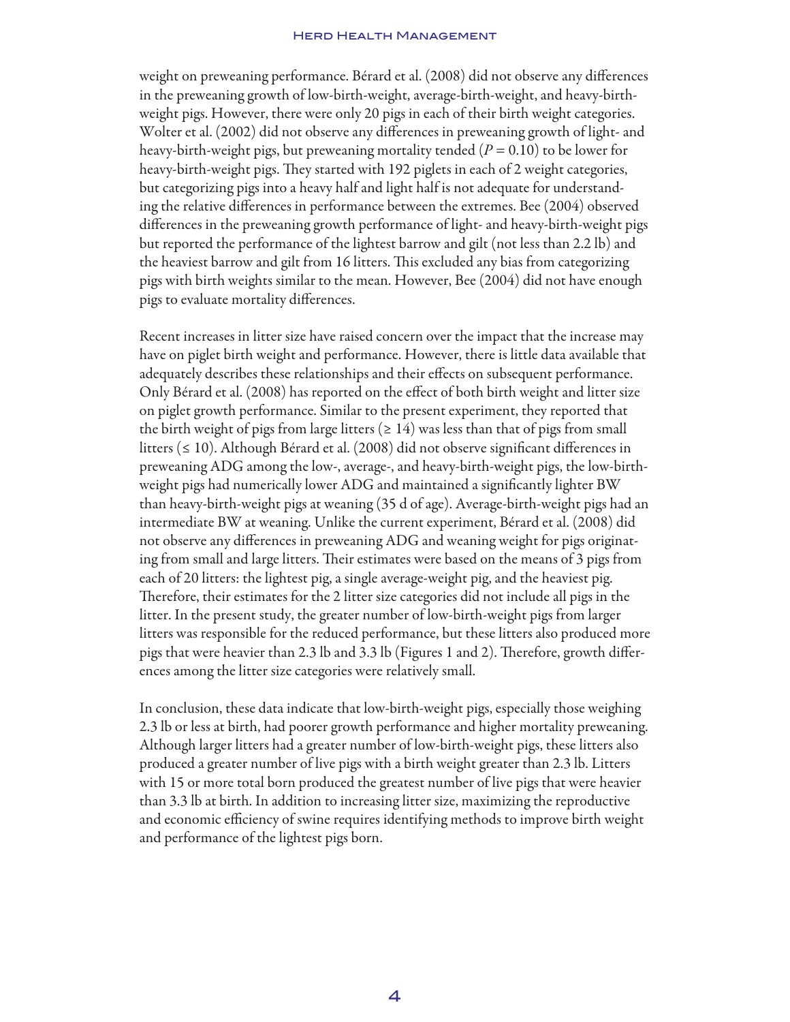#### Herd Health Management

weight on preweaning performance. Bérard et al. (2008) did not observe any differences in the preweaning growth of low-birth-weight, average-birth-weight, and heavy-birthweight pigs. However, there were only 20 pigs in each of their birth weight categories. Wolter et al. (2002) did not observe any differences in preweaning growth of light- and heavy-birth-weight pigs, but preweaning mortality tended (*P* = 0.10) to be lower for heavy-birth-weight pigs. They started with 192 piglets in each of 2 weight categories, but categorizing pigs into a heavy half and light half is not adequate for understanding the relative differences in performance between the extremes. Bee (2004) observed differences in the preweaning growth performance of light- and heavy-birth-weight pigs but reported the performance of the lightest barrow and gilt (not less than 2.2 lb) and the heaviest barrow and gilt from 16 litters. This excluded any bias from categorizing pigs with birth weights similar to the mean. However, Bee (2004) did not have enough pigs to evaluate mortality differences.

Recent increases in litter size have raised concern over the impact that the increase may have on piglet birth weight and performance. However, there is little data available that adequately describes these relationships and their effects on subsequent performance. Only Bérard et al. (2008) has reported on the effect of both birth weight and litter size on piglet growth performance. Similar to the present experiment, they reported that the birth weight of pigs from large litters ( $\geq 14$ ) was less than that of pigs from small litters (≤ 10). Although Bérard et al. (2008) did not observe significant differences in preweaning ADG among the low-, average-, and heavy-birth-weight pigs, the low-birthweight pigs had numerically lower ADG and maintained a significantly lighter BW than heavy-birth-weight pigs at weaning (35 d of age). Average-birth-weight pigs had an intermediate BW at weaning. Unlike the current experiment, Bérard et al. (2008) did not observe any differences in preweaning ADG and weaning weight for pigs originating from small and large litters. Their estimates were based on the means of 3 pigs from each of 20 litters: the lightest pig, a single average-weight pig, and the heaviest pig. Therefore, their estimates for the 2 litter size categories did not include all pigs in the litter. In the present study, the greater number of low-birth-weight pigs from larger litters was responsible for the reduced performance, but these litters also produced more pigs that were heavier than 2.3 lb and 3.3 lb (Figures 1 and 2). Therefore, growth differences among the litter size categories were relatively small.

In conclusion, these data indicate that low-birth-weight pigs, especially those weighing 2.3 lb or less at birth, had poorer growth performance and higher mortality preweaning. Although larger litters had a greater number of low-birth-weight pigs, these litters also produced a greater number of live pigs with a birth weight greater than 2.3 lb. Litters with 15 or more total born produced the greatest number of live pigs that were heavier than 3.3 lb at birth. In addition to increasing litter size, maximizing the reproductive and economic efficiency of swine requires identifying methods to improve birth weight and performance of the lightest pigs born.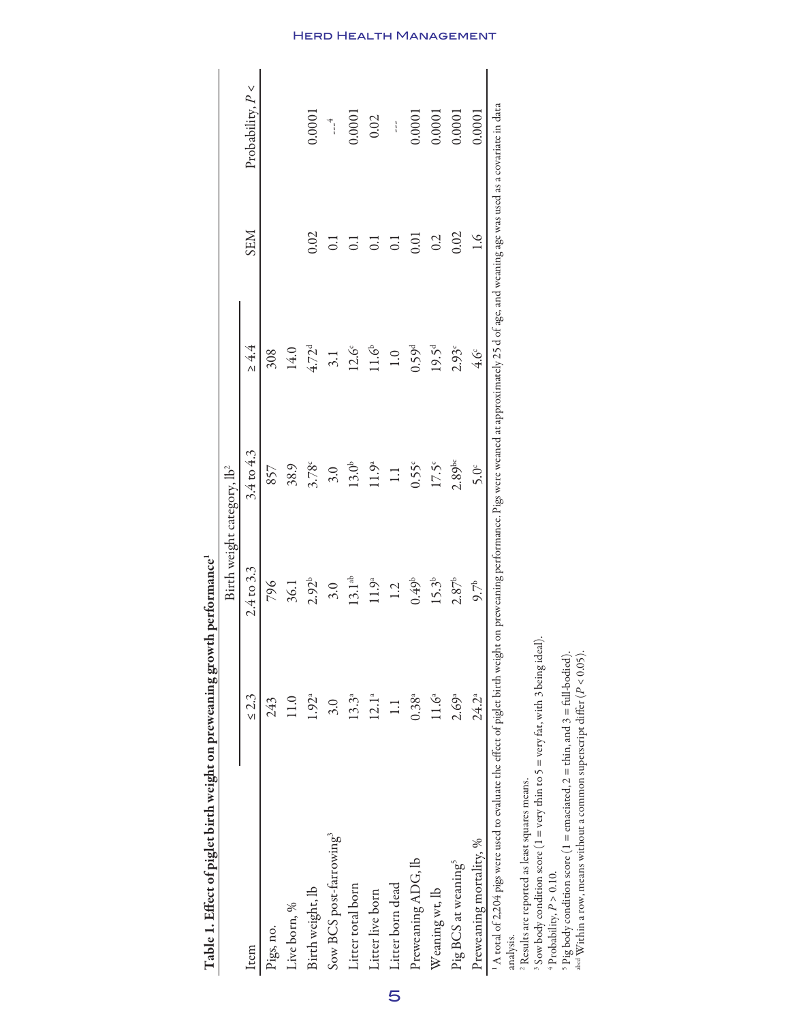| $\overline{a}$<br>$\frac{1}{2}$                                                                             | 0                 |                   |                                                                                                                           |                   |                  |                                                                  |
|-------------------------------------------------------------------------------------------------------------|-------------------|-------------------|---------------------------------------------------------------------------------------------------------------------------|-------------------|------------------|------------------------------------------------------------------|
|                                                                                                             |                   |                   | Birth weight category, lb <sup>2</sup>                                                                                    |                   |                  |                                                                  |
| Item                                                                                                        | $\leq$ 2.3        | 2.4 to 3.3        | $3.4 \text{ to } 4.3$                                                                                                     | $\geq 4.4$        | <b>SEM</b>       | Probability, $P <$                                               |
| Pigs, no.                                                                                                   | 243               | 796               | 857                                                                                                                       | 308               |                  |                                                                  |
| Live born, %                                                                                                | 11.0              | 36.1              | 38.9                                                                                                                      | 14.0              |                  |                                                                  |
| Birth weight, lb                                                                                            | 1.92 <sup>a</sup> | $2.92^{b}$        | 3.78c                                                                                                                     | $4.72^{d}$        | 0.02             | 0.0001                                                           |
| Sow BCS post-farrowing <sup>3</sup>                                                                         | 3.0               | 3.0               | 3.0                                                                                                                       | 3.1               | $\overline{C}$   | $\begin{array}{c} 4 \ \ \frac{1}{2} \ \ \frac{1}{2} \end{array}$ |
| Litter total born                                                                                           | $13.3^{a}$        | $13.1^{ab}$       | $13.0^{b}$                                                                                                                | $12.6^\circ$      | $\overline{C}$   | 0.0001                                                           |
| Litter live born                                                                                            | 12.1 <sup>a</sup> | 11.9 <sup>a</sup> | 11.9 <sup>a</sup>                                                                                                         | 11.6 <sup>b</sup> | $\overline{C}$   | 0.02                                                             |
| Litter born dead                                                                                            | $\Box$            | 1.2               | $\Box$                                                                                                                    | 1.0               | $\overline{0}$ . | $\mathbf{I}$                                                     |
| Preweaning ADG, lb                                                                                          | $0.38^{a}$        | 0.49 <sup>b</sup> | $0.55^{\circ}$                                                                                                            | 0.59 <sup>d</sup> | 0.01             | 0.0001                                                           |
| Weaning wt, lb                                                                                              | $11.6^{a}$        | $15.3^{b}$        | $17.5^{\circ}$                                                                                                            | $19.5^{\rm d}$    | 0.2              | 0.0001                                                           |
| Pig BCS at weaning <sup>5</sup>                                                                             | $2.69^{a}$        | 2.87 <sup>b</sup> | $2.89$ bc                                                                                                                 | 2.93c             | 0.02             | 0.0001                                                           |
| Preweaning mortality, %                                                                                     | 24.2ª             | $9.7^{\circ}$     | 5.0 <sup>c</sup>                                                                                                          | $4.6^\circ$       | $\sim$           | 0.0001                                                           |
| 1 A total of 2,204 pigs were used to evaluate the effect of piglet birth weight<br>$2n - 1 - $<br>analysis. |                   |                   | on preweaning performance. Pigs were weaned at approximately 25 d of age, and weaning age was used as a covariate in data |                   |                  |                                                                  |

Table 1. Effect of piglet birth weight on preweaning growth performance Table 1. Effect of piglet birth weight on preweaning growth performance1

Herd Health Management

5

 $^2$  Results are reported as least squares means.<br> $^3$  Sow body condition score (1 = very thin tc

 $\sf II$ = very thin to  $5$  = very fat, with 3 being ideal).

4 Probability,  $P > 0.10$ .

ທ

 Pig body condition score (1 = emaciated,  $2 = \text{thin}$ , and  $3 = \text{full-bold}$ .

abcd Within a row, means without a common superscript differ (*P* < 0.05).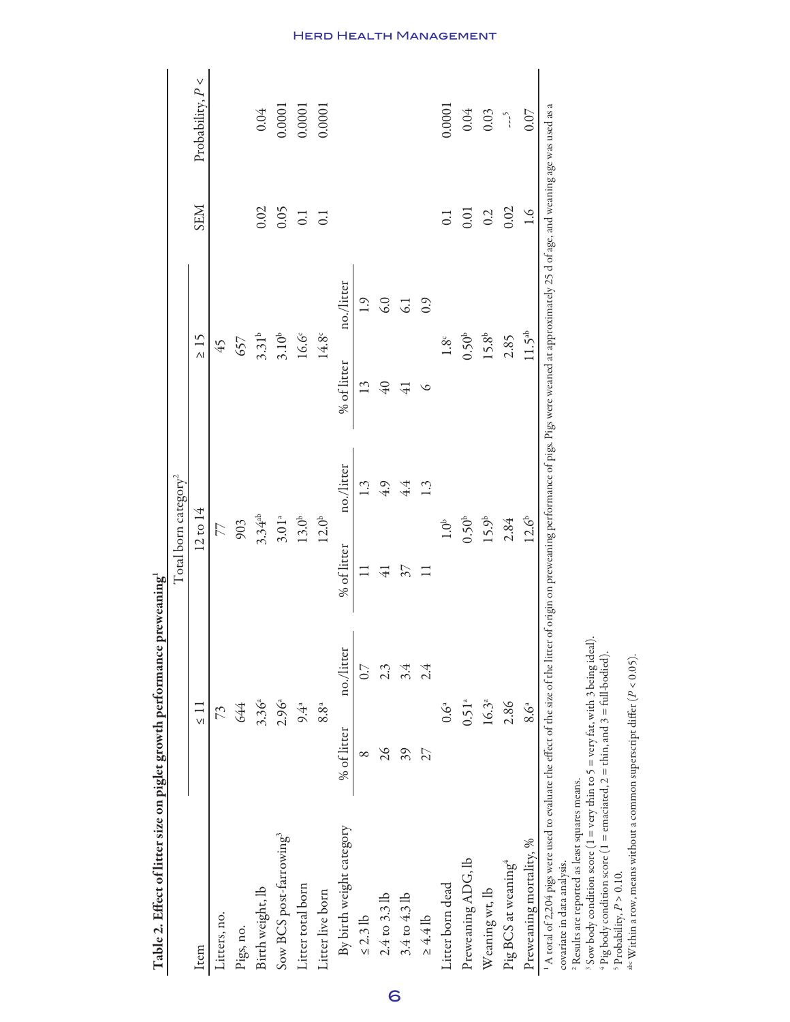| Amir Hand and Back and developed the same to the second of the second of the second of the second of the second of the second of the second of the second of the second of the second of the second of the second of the secon                   |               |               | $F^{\star}$ equation $\frac{1}{5}$ |            |                   |            |                  |                    |
|--------------------------------------------------------------------------------------------------------------------------------------------------------------------------------------------------------------------------------------------------|---------------|---------------|------------------------------------|------------|-------------------|------------|------------------|--------------------|
|                                                                                                                                                                                                                                                  |               |               | Total born category <sup>2</sup>   |            |                   |            |                  |                    |
| Item                                                                                                                                                                                                                                             | $\leq 11$     |               | $12 \text{ to } 14$                |            | $\geq 15$         |            | <b>SEM</b>       | Probability, $P <$ |
| Litters, no.                                                                                                                                                                                                                                     | 73            |               | 77                                 |            | 45                |            |                  |                    |
| Pigs, no.                                                                                                                                                                                                                                        | 644           |               | 903                                |            | 657               |            |                  |                    |
| Birth weight, lb                                                                                                                                                                                                                                 | $3.36^{a}$    |               | $3.34^{ab}$                        |            | 3.31 <sup>b</sup> |            | 0.02             | 0.04               |
| Sow BCS post-farrowing <sup>3</sup>                                                                                                                                                                                                              | $2.96^{a}$    |               | 3.01 <sup>a</sup>                  |            | 3.10 <sup>b</sup> |            | 0.05             | 0.0001             |
| Litter total born                                                                                                                                                                                                                                |               | $9.4^{a}$     | $13.0^{\mathrm{b}}$                |            | $16.6^{\circ}$    |            | $\overline{0}$ . | 0.0001             |
| Litter live born                                                                                                                                                                                                                                 |               | $8.8^{\circ}$ | 12.0 <sup>b</sup>                  |            | $14.8^{\circ}$    |            | $\overline{0}$ . | 0.0001             |
| By birth weight category                                                                                                                                                                                                                         | % of litter   | no./litter    | % of litter                        | no./litter | % of litter       | no./litter |                  |                    |
| $\leq$ 2.3 lb                                                                                                                                                                                                                                    | $\infty$      | 0.7           | $\Box$                             | 1.3        | 13                | 1.9        |                  |                    |
| 2.4 to 3.3 lb                                                                                                                                                                                                                                    | $\frac{5}{2}$ | 2.3           | $\overline{41}$                    | 4.9        | $\overline{6}$    | 6.0        |                  |                    |
| 3.4 to 4.3 lb                                                                                                                                                                                                                                    | 39            | 3.4           | 57                                 | 4.4        | $\overline{4}$    | 61         |                  |                    |
| $\geq 4.4$ lb                                                                                                                                                                                                                                    | 27            | 2.4           | $\Box$                             | 1.3        | $\circ$           | 0.9        |                  |                    |
| Litter born dead                                                                                                                                                                                                                                 |               | $0.6^{\circ}$ | $1.0^{\circ}$                      |            | 1.8 <sup>c</sup>  |            | $\overline{0}$ . | 0.0001             |
| Preweaning ADG, lb                                                                                                                                                                                                                               | $0.51^{a}$    |               | 0.50 <sup>b</sup>                  |            | 0.50 <sup>b</sup> |            | 0.01             | $0.04\,$           |
| Weaning wt, lb                                                                                                                                                                                                                                   |               | $16.3^{a}$    | 15.9 <sup>b</sup>                  |            | 15.8 <sup>b</sup> |            | 0.2              | 0.03               |
| Pig BCS at weaning <sup>4</sup>                                                                                                                                                                                                                  |               | 2.86          | 2.84                               |            | 2.85              |            | 0.02             | $\tilde{\zeta}$    |
| Preweaning mortality, %                                                                                                                                                                                                                          |               | 8.6ª          | $12.6^{b}$                         |            | $11.5^{ab}$       |            | $\frac{6}{1}$    | 0.07               |
| $^{1}$ A total of 2,204 pigs were used to evaluate the effect of the size of the litter of origin on preweaning performance of pigs. Pigs were weaned at approximately 25 d of age, and weaning age was used as a<br>covariate in data analysis. |               |               |                                    |            |                   |            |                  |                    |

Table 2. Effect of litter size on piglet growth performance preweaning Table 2. Effect of litter size on piglet growth performance preweaning1

covariate in data analysis.<br>2 December 2022

 $^2$  Results are reported as least squares means.<br>3 Sow body condition score (1 = very thin tc = very thin to  $5$  = very fat, with 3 being ideal).

4 Pig body condition score (1 = emaciated,  $2 = \text{thin}$ , and  $3 = \text{full-bold}$ .

 Probability,  $P > 0.10$ .

abc Within a row, means without a common superscript differ  $(P < 0.05)$ .